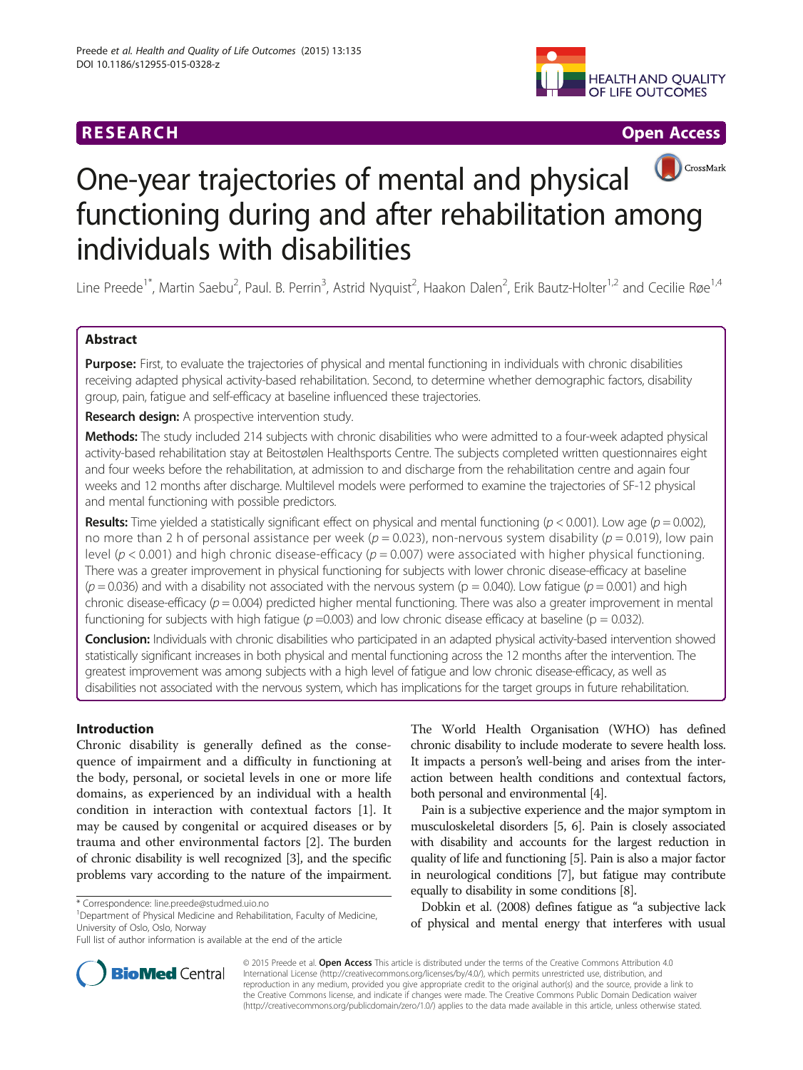# **RESEARCH CHINESE ARCH CHINESE ARCH CHINESE ARCH <b>CHINESE ARCH CHINESE ARCH CHINESE ARCH <b>CHINESE** ARCH **CHINESE ARCH** CHINESE ARCH **CHINESE ARCH 2014**



# CrossMark One-year trajectories of mental and physical functioning during and after rehabilitation among individuals with disabilities

Line Preede<sup>1\*</sup>, Martin Saebu<sup>2</sup>, Paul. B. Perrin<sup>3</sup>, Astrid Nyquist<sup>2</sup>, Haakon Dalen<sup>2</sup>, Erik Bautz-Holter<sup>1,2</sup> and Cecilie Røe<sup>1,4</sup>

# Abstract

Purpose: First, to evaluate the trajectories of physical and mental functioning in individuals with chronic disabilities receiving adapted physical activity-based rehabilitation. Second, to determine whether demographic factors, disability group, pain, fatigue and self-efficacy at baseline influenced these trajectories.

**Research design:** A prospective intervention study.

Methods: The study included 214 subjects with chronic disabilities who were admitted to a four-week adapted physical activity-based rehabilitation stay at Beitostølen Healthsports Centre. The subjects completed written questionnaires eight and four weeks before the rehabilitation, at admission to and discharge from the rehabilitation centre and again four weeks and 12 months after discharge. Multilevel models were performed to examine the trajectories of SF-12 physical and mental functioning with possible predictors.

**Results:** Time yielded a statistically significant effect on physical and mental functioning ( $p < 0.001$ ). Low age ( $p = 0.002$ ), no more than 2 h of personal assistance per week ( $p = 0.023$ ), non-nervous system disability ( $p = 0.019$ ), low pain level ( $p < 0.001$ ) and high chronic disease-efficacy ( $p = 0.007$ ) were associated with higher physical functioning. There was a greater improvement in physical functioning for subjects with lower chronic disease-efficacy at baseline  $(p = 0.036)$  and with a disability not associated with the nervous system (p = 0.040). Low fatigue (p = 0.001) and high chronic disease-efficacy ( $p = 0.004$ ) predicted higher mental functioning. There was also a greater improvement in mental functioning for subjects with high fatigue ( $p = 0.003$ ) and low chronic disease efficacy at baseline ( $p = 0.032$ ).

Conclusion: Individuals with chronic disabilities who participated in an adapted physical activity-based intervention showed statistically significant increases in both physical and mental functioning across the 12 months after the intervention. The greatest improvement was among subjects with a high level of fatigue and low chronic disease-efficacy, as well as disabilities not associated with the nervous system, which has implications for the target groups in future rehabilitation.

# Introduction

Chronic disability is generally defined as the consequence of impairment and a difficulty in functioning at the body, personal, or societal levels in one or more life domains, as experienced by an individual with a health condition in interaction with contextual factors [[1\]](#page-9-0). It may be caused by congenital or acquired diseases or by trauma and other environmental factors [[2\]](#page-9-0). The burden of chronic disability is well recognized [\[3\]](#page-9-0), and the specific problems vary according to the nature of the impairment.

<sup>1</sup>Department of Physical Medicine and Rehabilitation, Faculty of Medicine, University of Oslo, Oslo, Norway

The World Health Organisation (WHO) has defined chronic disability to include moderate to severe health loss. It impacts a person's well-being and arises from the interaction between health conditions and contextual factors, both personal and environmental [[4](#page-10-0)].

Pain is a subjective experience and the major symptom in musculoskeletal disorders [\[5](#page-10-0), [6\]](#page-10-0). Pain is closely associated with disability and accounts for the largest reduction in quality of life and functioning [\[5](#page-10-0)]. Pain is also a major factor in neurological conditions [\[7](#page-10-0)], but fatigue may contribute equally to disability in some conditions [[8](#page-10-0)].

Dobkin et al. (2008) defines fatigue as "a subjective lack of physical and mental energy that interferes with usual



© 2015 Preede et al. Open Access This article is distributed under the terms of the Creative Commons Attribution 4.0 International License [\(http://creativecommons.org/licenses/by/4.0/](http://creativecommons.org/licenses/by/4.0)), which permits unrestricted use, distribution, and reproduction in any medium, provided you give appropriate credit to the original author(s) and the source, provide a link to the Creative Commons license, and indicate if changes were made. The Creative Commons Public Domain Dedication waiver [\(http://creativecommons.org/publicdomain/zero/1.0/](http://creativecommons.org/publicdomain/zero/1.0/)) applies to the data made available in this article, unless otherwise stated.

<sup>\*</sup> Correspondence: [line.preede@studmed.uio.no](mailto:line.preede@studmed.uio.no) <sup>1</sup>

Full list of author information is available at the end of the article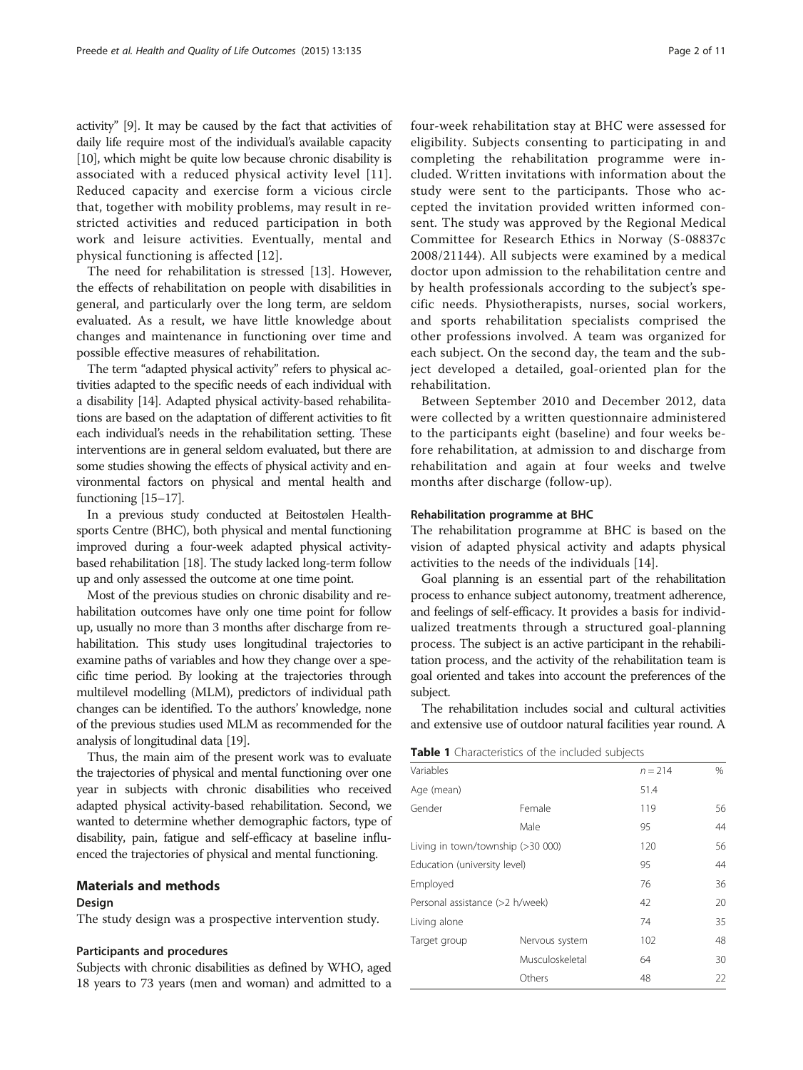<span id="page-1-0"></span>activity" [\[9](#page-10-0)]. It may be caused by the fact that activities of daily life require most of the individual's available capacity [[10](#page-10-0)], which might be quite low because chronic disability is associated with a reduced physical activity level [[11](#page-10-0)]. Reduced capacity and exercise form a vicious circle that, together with mobility problems, may result in restricted activities and reduced participation in both work and leisure activities. Eventually, mental and physical functioning is affected [[12](#page-10-0)].

The need for rehabilitation is stressed [\[13\]](#page-10-0). However, the effects of rehabilitation on people with disabilities in general, and particularly over the long term, are seldom evaluated. As a result, we have little knowledge about changes and maintenance in functioning over time and possible effective measures of rehabilitation.

The term "adapted physical activity" refers to physical activities adapted to the specific needs of each individual with a disability [\[14\]](#page-10-0). Adapted physical activity-based rehabilitations are based on the adaptation of different activities to fit each individual's needs in the rehabilitation setting. These interventions are in general seldom evaluated, but there are some studies showing the effects of physical activity and environmental factors on physical and mental health and functioning [\[15](#page-10-0)–[17\]](#page-10-0).

In a previous study conducted at Beitostølen Healthsports Centre (BHC), both physical and mental functioning improved during a four-week adapted physical activitybased rehabilitation [[18](#page-10-0)]. The study lacked long-term follow up and only assessed the outcome at one time point.

Most of the previous studies on chronic disability and rehabilitation outcomes have only one time point for follow up, usually no more than 3 months after discharge from rehabilitation. This study uses longitudinal trajectories to examine paths of variables and how they change over a specific time period. By looking at the trajectories through multilevel modelling (MLM), predictors of individual path changes can be identified. To the authors' knowledge, none of the previous studies used MLM as recommended for the analysis of longitudinal data [[19](#page-10-0)].

Thus, the main aim of the present work was to evaluate the trajectories of physical and mental functioning over one year in subjects with chronic disabilities who received adapted physical activity-based rehabilitation. Second, we wanted to determine whether demographic factors, type of disability, pain, fatigue and self-efficacy at baseline influenced the trajectories of physical and mental functioning.

# Materials and methods

## Design

The study design was a prospective intervention study.

#### Participants and procedures

Subjects with chronic disabilities as defined by WHO, aged 18 years to 73 years (men and woman) and admitted to a four-week rehabilitation stay at BHC were assessed for eligibility. Subjects consenting to participating in and completing the rehabilitation programme were included. Written invitations with information about the study were sent to the participants. Those who accepted the invitation provided written informed consent. The study was approved by the Regional Medical Committee for Research Ethics in Norway (S-08837c 2008/21144). All subjects were examined by a medical doctor upon admission to the rehabilitation centre and by health professionals according to the subject's specific needs. Physiotherapists, nurses, social workers, and sports rehabilitation specialists comprised the other professions involved. A team was organized for each subject. On the second day, the team and the subject developed a detailed, goal-oriented plan for the rehabilitation.

Between September 2010 and December 2012, data were collected by a written questionnaire administered to the participants eight (baseline) and four weeks before rehabilitation, at admission to and discharge from rehabilitation and again at four weeks and twelve months after discharge (follow-up).

## Rehabilitation programme at BHC

The rehabilitation programme at BHC is based on the vision of adapted physical activity and adapts physical activities to the needs of the individuals [\[14](#page-10-0)].

Goal planning is an essential part of the rehabilitation process to enhance subject autonomy, treatment adherence, and feelings of self-efficacy. It provides a basis for individualized treatments through a structured goal-planning process. The subject is an active participant in the rehabilitation process, and the activity of the rehabilitation team is goal oriented and takes into account the preferences of the subject.

The rehabilitation includes social and cultural activities and extensive use of outdoor natural facilities year round. A

| <b>Table 1</b> Characteristics of the included subjects |  |
|---------------------------------------------------------|--|
|---------------------------------------------------------|--|

| Variables                         |                 | $n = 214$ | %  |
|-----------------------------------|-----------------|-----------|----|
| Age (mean)                        |                 | 51.4      |    |
| Gender                            | Female          | 119       | 56 |
|                                   | Male            | 95        | 44 |
| Living in town/township (>30 000) |                 | 120       | 56 |
| Education (university level)      |                 | 95        | 44 |
| Employed                          |                 | 76        | 36 |
| Personal assistance (>2 h/week)   |                 | 42        | 20 |
| Living alone                      |                 | 74        | 35 |
| Target group                      | Nervous system  | 102       | 48 |
|                                   | Musculoskeletal | 64        | 30 |
|                                   | Others          | 48        | 22 |
|                                   |                 |           |    |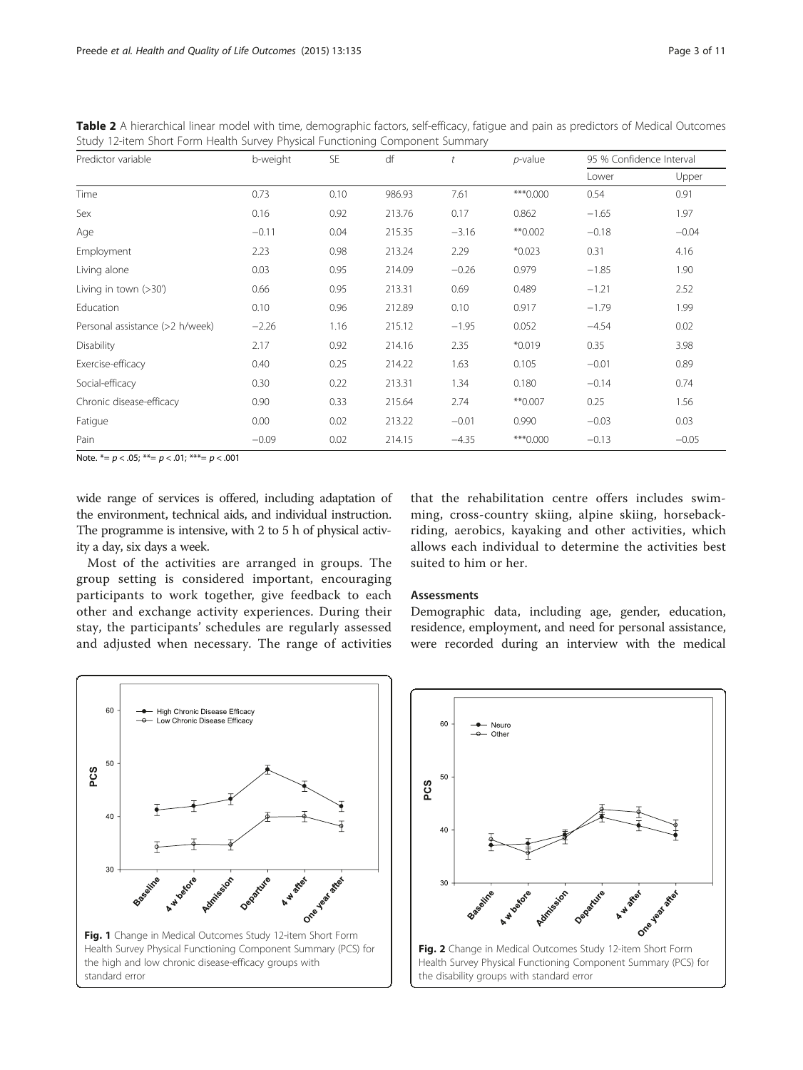<span id="page-2-0"></span>Table 2 A hierarchical linear model with time, demographic factors, self-efficacy, fatigue and pain as predictors of Medical Outcomes Study 12-item Short Form Health Survey Physical Functioning Component Summary

| Predictor variable              | b-weight | <b>SE</b> | df     | t       | $p$ -value | 95 % Confidence Interval |         |
|---------------------------------|----------|-----------|--------|---------|------------|--------------------------|---------|
|                                 |          |           |        |         |            | Lower                    | Upper   |
| Time                            | 0.73     | 0.10      | 986.93 | 7.61    | *** 0.000  | 0.54                     | 0.91    |
| Sex                             | 0.16     | 0.92      | 213.76 | 0.17    | 0.862      | $-1.65$                  | 1.97    |
| Age                             | $-0.11$  | 0.04      | 215.35 | $-3.16$ | $*$ 0.002  | $-0.18$                  | $-0.04$ |
| Employment                      | 2.23     | 0.98      | 213.24 | 2.29    | $*0.023$   | 0.31                     | 4.16    |
| Living alone                    | 0.03     | 0.95      | 214.09 | $-0.26$ | 0.979      | $-1.85$                  | 1.90    |
| Living in town $(>30')$         | 0.66     | 0.95      | 213.31 | 0.69    | 0.489      | $-1.21$                  | 2.52    |
| Education                       | 0.10     | 0.96      | 212.89 | 0.10    | 0.917      | $-1.79$                  | 1.99    |
| Personal assistance (>2 h/week) | $-2.26$  | 1.16      | 215.12 | $-1.95$ | 0.052      | $-4.54$                  | 0.02    |
| Disability                      | 2.17     | 0.92      | 214.16 | 2.35    | $*0.019$   | 0.35                     | 3.98    |
| Exercise-efficacy               | 0.40     | 0.25      | 214.22 | 1.63    | 0.105      | $-0.01$                  | 0.89    |
| Social-efficacy                 | 0.30     | 0.22      | 213.31 | 1.34    | 0.180      | $-0.14$                  | 0.74    |
| Chronic disease-efficacy        | 0.90     | 0.33      | 215.64 | 2.74    | ** 0.007   | 0.25                     | 1.56    |
| Fatigue                         | 0.00     | 0.02      | 213.22 | $-0.01$ | 0.990      | $-0.03$                  | 0.03    |
| Pain                            | $-0.09$  | 0.02      | 214.15 | $-4.35$ | *** 0.000  | $-0.13$                  | $-0.05$ |

Note.  $*_ = p < .05$ ;  $** = p < .01$ ;  $** = p < .001$ 

wide range of services is offered, including adaptation of the environment, technical aids, and individual instruction. The programme is intensive, with 2 to 5 h of physical activity a day, six days a week.

Most of the activities are arranged in groups. The group setting is considered important, encouraging participants to work together, give feedback to each other and exchange activity experiences. During their stay, the participants' schedules are regularly assessed and adjusted when necessary. The range of activities

that the rehabilitation centre offers includes swimming, cross-country skiing, alpine skiing, horsebackriding, aerobics, kayaking and other activities, which allows each individual to determine the activities best suited to him or her.

#### Assessments

Demographic data, including age, gender, education, residence, employment, and need for personal assistance, were recorded during an interview with the medical



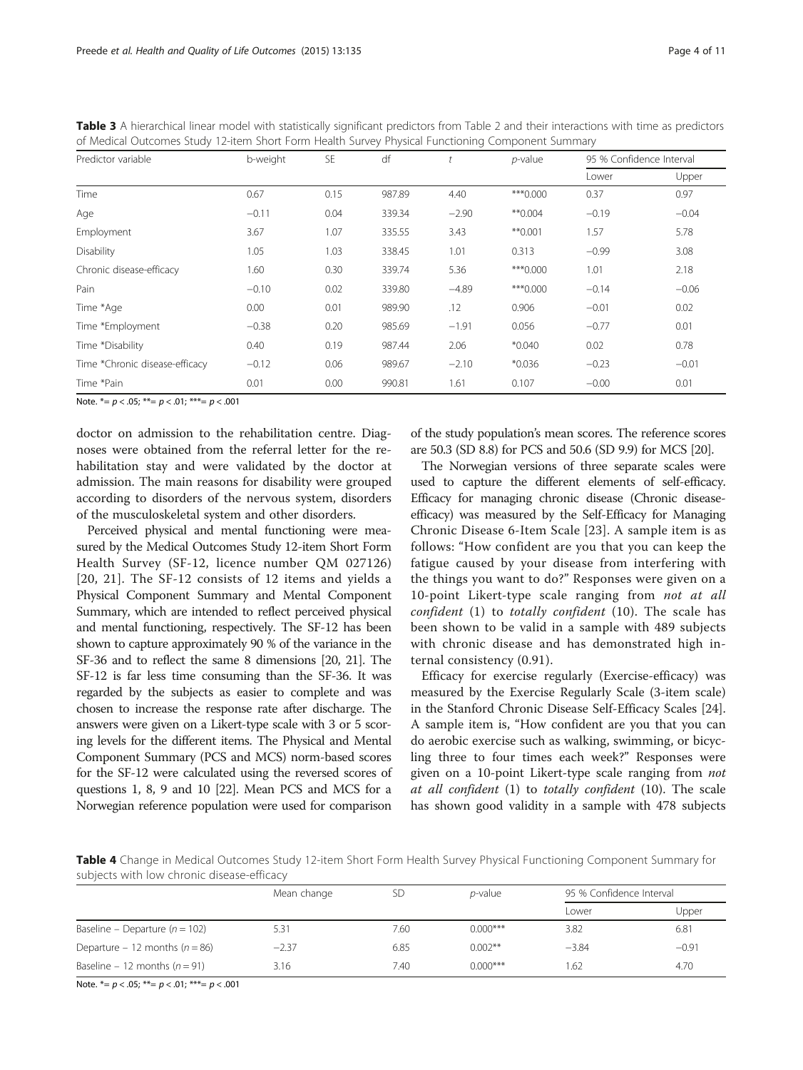<span id="page-3-0"></span>

| Table 3 A hierarchical linear model with statistically significant predictors from Table 2 and their interactions with time as predictors |  |  |  |
|-------------------------------------------------------------------------------------------------------------------------------------------|--|--|--|
| of Medical Outcomes Study 12-item Short Form Health Survey Physical Functioning Component Summary                                         |  |  |  |

| Predictor variable             | b-weight | SE   | df     |         | $p$ -value | 95 % Confidence Interval |         |
|--------------------------------|----------|------|--------|---------|------------|--------------------------|---------|
|                                |          |      |        |         |            | Lower                    | Upper   |
| Time                           | 0.67     | 0.15 | 987.89 | 4.40    | ***0.000   | 0.37                     | 0.97    |
| Age                            | $-0.11$  | 0.04 | 339.34 | $-2.90$ | $*$ 0.004  | $-0.19$                  | $-0.04$ |
| Employment                     | 3.67     | 1.07 | 335.55 | 3.43    | $*$ 0.001  | 1.57                     | 5.78    |
| Disability                     | 1.05     | 1.03 | 338.45 | 1.01    | 0.313      | $-0.99$                  | 3.08    |
| Chronic disease-efficacy       | 1.60     | 0.30 | 339.74 | 5.36    | ***0.000   | 1.01                     | 2.18    |
| Pain                           | $-0.10$  | 0.02 | 339.80 | $-4.89$ | ***0.000   | $-0.14$                  | $-0.06$ |
| Time *Age                      | 0.00     | 0.01 | 989.90 | .12     | 0.906      | $-0.01$                  | 0.02    |
| Time *Employment               | $-0.38$  | 0.20 | 985.69 | $-1.91$ | 0.056      | $-0.77$                  | 0.01    |
| Time *Disability               | 0.40     | 0.19 | 987.44 | 2.06    | $*0.040$   | 0.02                     | 0.78    |
| Time *Chronic disease-efficacy | $-0.12$  | 0.06 | 989.67 | $-2.10$ | $*0.036$   | $-0.23$                  | $-0.01$ |
| Time *Pain                     | 0.01     | 0.00 | 990.81 | 1.61    | 0.107      | $-0.00$                  | 0.01    |

Note.  $* = p < .05; ** = p < .01; ** = p < .001$ 

doctor on admission to the rehabilitation centre. Diagnoses were obtained from the referral letter for the rehabilitation stay and were validated by the doctor at admission. The main reasons for disability were grouped according to disorders of the nervous system, disorders of the musculoskeletal system and other disorders.

Perceived physical and mental functioning were measured by the Medical Outcomes Study 12-item Short Form Health Survey (SF-12, licence number QM 027126) [[20](#page-10-0), [21\]](#page-10-0). The SF-12 consists of 12 items and yields a Physical Component Summary and Mental Component Summary, which are intended to reflect perceived physical and mental functioning, respectively. The SF-12 has been shown to capture approximately 90 % of the variance in the SF-36 and to reflect the same 8 dimensions [\[20, 21\]](#page-10-0). The SF-12 is far less time consuming than the SF-36. It was regarded by the subjects as easier to complete and was chosen to increase the response rate after discharge. The answers were given on a Likert-type scale with 3 or 5 scoring levels for the different items. The Physical and Mental Component Summary (PCS and MCS) norm-based scores for the SF-12 were calculated using the reversed scores of questions 1, 8, 9 and 10 [[22](#page-10-0)]. Mean PCS and MCS for a Norwegian reference population were used for comparison

of the study population's mean scores. The reference scores are 50.3 (SD 8.8) for PCS and 50.6 (SD 9.9) for MCS [\[20\]](#page-10-0).

The Norwegian versions of three separate scales were used to capture the different elements of self-efficacy. Efficacy for managing chronic disease (Chronic diseaseefficacy) was measured by the Self-Efficacy for Managing Chronic Disease 6-Item Scale [[23\]](#page-10-0). A sample item is as follows: "How confident are you that you can keep the fatigue caused by your disease from interfering with the things you want to do?" Responses were given on a 10-point Likert-type scale ranging from *not at all* confident (1) to totally confident (10). The scale has been shown to be valid in a sample with 489 subjects with chronic disease and has demonstrated high internal consistency (0.91).

Efficacy for exercise regularly (Exercise-efficacy) was measured by the Exercise Regularly Scale (3-item scale) in the Stanford Chronic Disease Self-Efficacy Scales [\[24](#page-10-0)]. A sample item is, "How confident are you that you can do aerobic exercise such as walking, swimming, or bicycling three to four times each week?" Responses were given on a 10-point Likert-type scale ranging from not at all confident (1) to totally confident (10). The scale has shown good validity in a sample with 478 subjects

Table 4 Change in Medical Outcomes Study 12-item Short Form Health Survey Physical Functioning Component Summary for subjects with low chronic disease-efficacy

|                                    | Mean change |      | <i>p</i> -value | 95 % Confidence Interval |         |
|------------------------------------|-------------|------|-----------------|--------------------------|---------|
|                                    |             |      |                 | Lower                    | Upper   |
| Baseline – Departure ( $n = 102$ ) | 5.31        | 7.60 | $0.000$ ***     | 3.82                     | 6.81    |
| Departure – 12 months ( $n = 86$ ) | $-2.37$     | 6.85 | $0.002**$       | $-3.84$                  | $-0.91$ |
| Baseline – 12 months ( $n = 91$ )  | 3.16        | 7.40 | $0.000$ ***     | 1.62                     | 4.70    |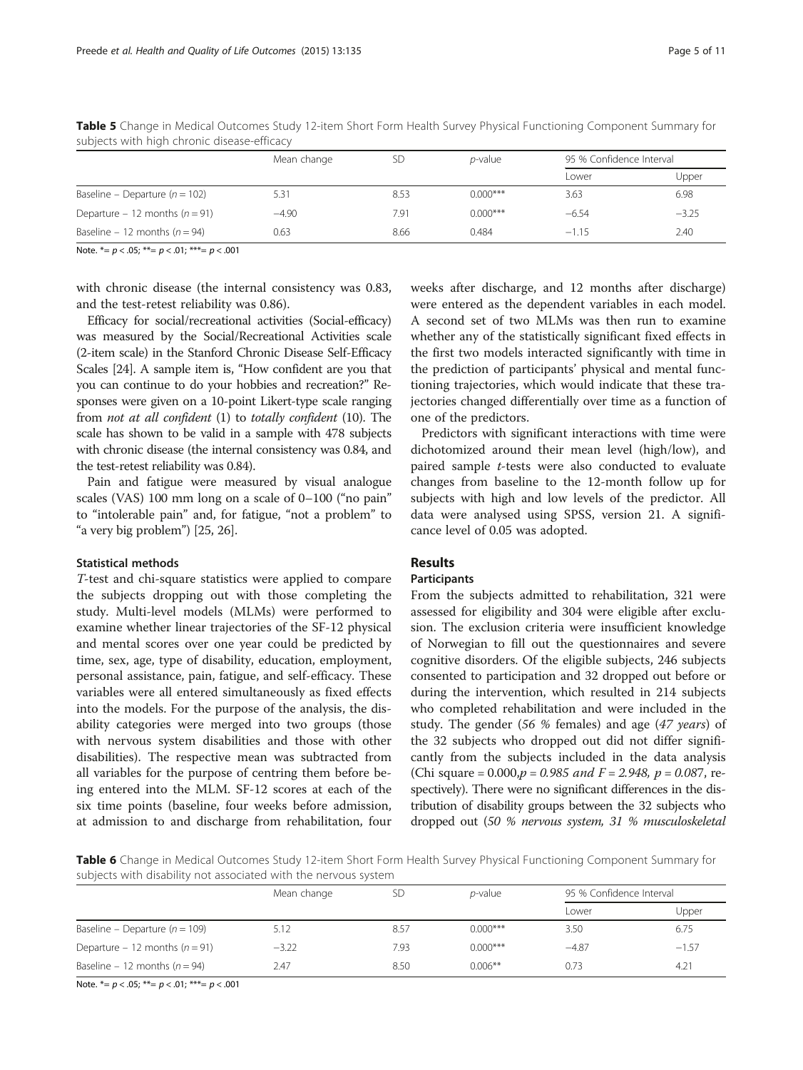|                                    | Mean change |      | <i>p</i> -value | 95 % Confidence Interval |         |
|------------------------------------|-------------|------|-----------------|--------------------------|---------|
|                                    |             |      |                 | Lower                    | Upper   |
| Baseline – Departure ( $n = 102$ ) | 5.31        | 8.53 | $0.000***$      | 3.63                     | 6.98    |
| Departure - 12 months ( $n = 91$ ) | $-4.90$     | 7.91 | $0.000***$      | $-6.54$                  | $-3.25$ |
| Baseline – 12 months ( $n = 94$ )  | 0.63        | 8.66 | 0.484           | $-1.15$                  | 2.40    |

<span id="page-4-0"></span>Table 5 Change in Medical Outcomes Study 12-item Short Form Health Survey Physical Functioning Component Summary for subjects with high chronic disease-efficacy

Note.  $*_= p < .05$ ;  $**= p < .01$ ;  $**= p < .001$ 

with chronic disease (the internal consistency was 0.83, and the test-retest reliability was 0.86).

Efficacy for social/recreational activities (Social-efficacy) was measured by the Social/Recreational Activities scale (2-item scale) in the Stanford Chronic Disease Self-Efficacy Scales [\[24\]](#page-10-0). A sample item is, "How confident are you that you can continue to do your hobbies and recreation?" Responses were given on a 10-point Likert-type scale ranging from not at all confident (1) to totally confident (10). The scale has shown to be valid in a sample with 478 subjects with chronic disease (the internal consistency was 0.84, and the test-retest reliability was 0.84).

Pain and fatigue were measured by visual analogue scales (VAS) 100 mm long on a scale of 0–100 ("no pain" to "intolerable pain" and, for fatigue, "not a problem" to "a very big problem") [\[25, 26\]](#page-10-0).

#### Statistical methods

T-test and chi-square statistics were applied to compare the subjects dropping out with those completing the study. Multi-level models (MLMs) were performed to examine whether linear trajectories of the SF-12 physical and mental scores over one year could be predicted by time, sex, age, type of disability, education, employment, personal assistance, pain, fatigue, and self-efficacy. These variables were all entered simultaneously as fixed effects into the models. For the purpose of the analysis, the disability categories were merged into two groups (those with nervous system disabilities and those with other disabilities). The respective mean was subtracted from all variables for the purpose of centring them before being entered into the MLM. SF-12 scores at each of the six time points (baseline, four weeks before admission, at admission to and discharge from rehabilitation, four

weeks after discharge, and 12 months after discharge) were entered as the dependent variables in each model. A second set of two MLMs was then run to examine whether any of the statistically significant fixed effects in the first two models interacted significantly with time in the prediction of participants' physical and mental functioning trajectories, which would indicate that these trajectories changed differentially over time as a function of one of the predictors.

Predictors with significant interactions with time were dichotomized around their mean level (high/low), and paired sample t-tests were also conducted to evaluate changes from baseline to the 12-month follow up for subjects with high and low levels of the predictor. All data were analysed using SPSS, version 21. A significance level of 0.05 was adopted.

# Results

## Participants

From the subjects admitted to rehabilitation, 321 were assessed for eligibility and 304 were eligible after exclusion. The exclusion criteria were insufficient knowledge of Norwegian to fill out the questionnaires and severe cognitive disorders. Of the eligible subjects, 246 subjects consented to participation and 32 dropped out before or during the intervention, which resulted in 214 subjects who completed rehabilitation and were included in the study. The gender (56 % females) and age (47 years) of the 32 subjects who dropped out did not differ significantly from the subjects included in the data analysis (Chi square = 0.000, $p = 0.985$  and  $F = 2.948$ ,  $p = 0.087$ , respectively). There were no significant differences in the distribution of disability groups between the 32 subjects who dropped out (50 % nervous system, 31 % musculoskeletal

Table 6 Change in Medical Outcomes Study 12-item Short Form Health Survey Physical Functioning Component Summary for subjects with disability not associated with the nervous system

|                                    | Mean change | <b>SD</b> | $p$ -value | 95 % Confidence Interval |         |
|------------------------------------|-------------|-----------|------------|--------------------------|---------|
|                                    |             |           |            | Lower                    | Upper   |
| Baseline – Departure ( $n = 109$ ) | 5.12        | 8.57      | $0.000***$ | 3.50                     | 6.75    |
| Departure – 12 months ( $n = 91$ ) | $-3.22$     | 7.93      | $0.000***$ | $-4.87$                  | $-1.57$ |
| Baseline – 12 months ( $n = 94$ )  | 2.47        | 8.50      | $0.006**$  | 0.73                     | 4.21    |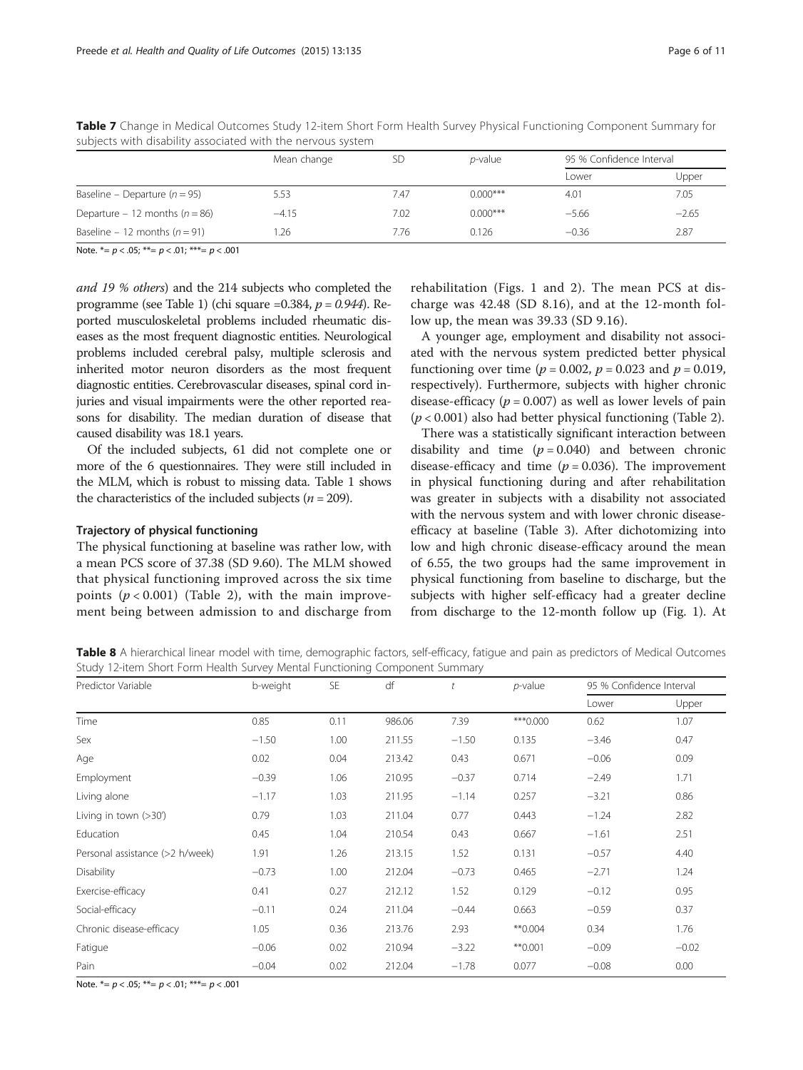|                                    | Mean change |      | <i>p</i> -value | 95 % Confidence Interval |         |
|------------------------------------|-------------|------|-----------------|--------------------------|---------|
|                                    |             |      |                 | Lower                    | Upper   |
| Baseline – Departure ( $n = 95$ )  | 5.53        | 7.47 | $0.000***$      | 4.01                     | 7.05    |
| Departure - 12 months ( $n = 86$ ) | $-4.15$     | 7.02 | $0.000***$      | $-5.66$                  | $-2.65$ |
| Baseline – 12 months ( $n = 91$ )  | .26         | 7.76 | 0.126           | $-0.36$                  | 2.87    |

<span id="page-5-0"></span>Table 7 Change in Medical Outcomes Study 12-item Short Form Health Survey Physical Functioning Component Summary for subjects with disability associated with the nervous system

Note.  $*_= p < .05$ ;  $**= p < .01$ ;  $**= p < .001$ 

and 19 % others) and the 214 subjects who completed the programme (see Table [1](#page-1-0)) (chi square =0.384,  $p = 0.944$ ). Reported musculoskeletal problems included rheumatic diseases as the most frequent diagnostic entities. Neurological problems included cerebral palsy, multiple sclerosis and inherited motor neuron disorders as the most frequent diagnostic entities. Cerebrovascular diseases, spinal cord injuries and visual impairments were the other reported reasons for disability. The median duration of disease that caused disability was 18.1 years.

Of the included subjects, 61 did not complete one or more of the 6 questionnaires. They were still included in the MLM, which is robust to missing data. Table [1](#page-1-0) shows the characteristics of the included subjects ( $n = 209$ ).

#### Trajectory of physical functioning

The physical functioning at baseline was rather low, with a mean PCS score of 37.38 (SD 9.60). The MLM showed that physical functioning improved across the six time points  $(p < 0.001)$  (Table [2](#page-2-0)), with the main improvement being between admission to and discharge from

rehabilitation (Figs. [1](#page-2-0) and [2](#page-2-0)). The mean PCS at discharge was 42.48 (SD 8.16), and at the 12-month follow up, the mean was 39.33 (SD 9.16).

A younger age, employment and disability not associated with the nervous system predicted better physical functioning over time ( $p = 0.002$ ,  $p = 0.023$  and  $p = 0.019$ , respectively). Furthermore, subjects with higher chronic disease-efficacy ( $p = 0.007$ ) as well as lower levels of pain  $(p < 0.001)$  also had better physical functioning (Table [2](#page-2-0)).

There was a statistically significant interaction between disability and time  $(p = 0.040)$  and between chronic disease-efficacy and time ( $p = 0.036$ ). The improvement in physical functioning during and after rehabilitation was greater in subjects with a disability not associated with the nervous system and with lower chronic diseaseefficacy at baseline (Table [3\)](#page-3-0). After dichotomizing into low and high chronic disease-efficacy around the mean of 6.55, the two groups had the same improvement in physical functioning from baseline to discharge, but the subjects with higher self-efficacy had a greater decline from discharge to the 12-month follow up (Fig. [1\)](#page-2-0). At

Table 8 A hierarchical linear model with time, demographic factors, self-efficacy, fatigue and pain as predictors of Medical Outcomes Study 12-item Short Form Health Survey Mental Functioning Component Summary

| Predictor Variable              | b-weight | SE   | df     |         | $p$ -value | 95 % Confidence Interval |         |
|---------------------------------|----------|------|--------|---------|------------|--------------------------|---------|
|                                 |          |      |        |         |            | Lower                    | Upper   |
| Time                            | 0.85     | 0.11 | 986.06 | 7.39    | ***0.000   | 0.62                     | 1.07    |
| Sex                             | $-1.50$  | 1.00 | 211.55 | $-1.50$ | 0.135      | $-3.46$                  | 0.47    |
| Age                             | 0.02     | 0.04 | 213.42 | 0.43    | 0.671      | $-0.06$                  | 0.09    |
| Employment                      | $-0.39$  | 1.06 | 210.95 | $-0.37$ | 0.714      | $-2.49$                  | 1.71    |
| Living alone                    | $-1.17$  | 1.03 | 211.95 | $-1.14$ | 0.257      | $-3.21$                  | 0.86    |
| Living in town $(>30')$         | 0.79     | 1.03 | 211.04 | 0.77    | 0.443      | $-1.24$                  | 2.82    |
| Education                       | 0.45     | 1.04 | 210.54 | 0.43    | 0.667      | $-1.61$                  | 2.51    |
| Personal assistance (>2 h/week) | 1.91     | 1.26 | 213.15 | 1.52    | 0.131      | $-0.57$                  | 4.40    |
| Disability                      | $-0.73$  | 1.00 | 212.04 | $-0.73$ | 0.465      | $-2.71$                  | 1.24    |
| Exercise-efficacy               | 0.41     | 0.27 | 212.12 | 1.52    | 0.129      | $-0.12$                  | 0.95    |
| Social-efficacy                 | $-0.11$  | 0.24 | 211.04 | $-0.44$ | 0.663      | $-0.59$                  | 0.37    |
| Chronic disease-efficacy        | 1.05     | 0.36 | 213.76 | 2.93    | $*$ 0.004  | 0.34                     | 1.76    |
| Fatigue                         | $-0.06$  | 0.02 | 210.94 | $-3.22$ | $*$ 0.001  | $-0.09$                  | $-0.02$ |
| Pain                            | $-0.04$  | 0.02 | 212.04 | $-1.78$ | 0.077      | $-0.08$                  | 0.00    |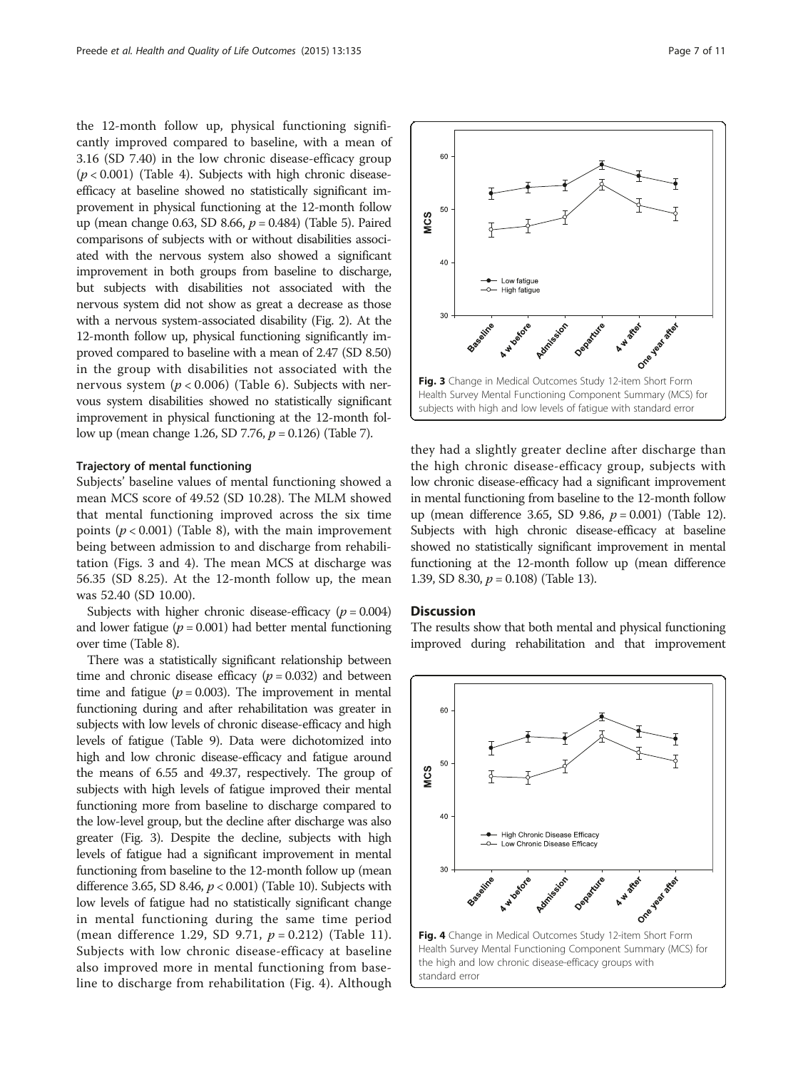the 12-month follow up, physical functioning significantly improved compared to baseline, with a mean of 3.16 (SD 7.40) in the low chronic disease-efficacy group  $(p < 0.001)$  (Table [4\)](#page-3-0). Subjects with high chronic diseaseefficacy at baseline showed no statistically significant improvement in physical functioning at the 12-month follow up (mean change 0.63, SD 8.66,  $p = 0.484$ ) (Table [5\)](#page-4-0). Paired comparisons of subjects with or without disabilities associated with the nervous system also showed a significant improvement in both groups from baseline to discharge, but subjects with disabilities not associated with the nervous system did not show as great a decrease as those with a nervous system-associated disability (Fig. [2](#page-2-0)). At the 12-month follow up, physical functioning significantly improved compared to baseline with a mean of 2.47 (SD 8.50) in the group with disabilities not associated with the nervous system ( $p < 0.006$ ) (Table [6\)](#page-4-0). Subjects with nervous system disabilities showed no statistically significant improvement in physical functioning at the 12-month follow up (mean change 1.26, SD 7.76,  $p = 0.126$ ) (Table [7\)](#page-5-0).

#### Trajectory of mental functioning

Subjects' baseline values of mental functioning showed a mean MCS score of 49.52 (SD 10.28). The MLM showed that mental functioning improved across the six time points ( $p < 0.001$ ) (Table [8](#page-5-0)), with the main improvement being between admission to and discharge from rehabilitation (Figs. 3 and 4). The mean MCS at discharge was 56.35 (SD 8.25). At the 12-month follow up, the mean was 52.40 (SD 10.00).

Subjects with higher chronic disease-efficacy  $(p = 0.004)$ and lower fatigue ( $p = 0.001$ ) had better mental functioning over time (Table [8](#page-5-0)).

There was a statistically significant relationship between time and chronic disease efficacy  $(p = 0.032)$  and between time and fatigue ( $p = 0.003$ ). The improvement in mental functioning during and after rehabilitation was greater in subjects with low levels of chronic disease-efficacy and high levels of fatigue (Table [9](#page-7-0)). Data were dichotomized into high and low chronic disease-efficacy and fatigue around the means of 6.55 and 49.37, respectively. The group of subjects with high levels of fatigue improved their mental functioning more from baseline to discharge compared to the low-level group, but the decline after discharge was also greater (Fig. 3). Despite the decline, subjects with high levels of fatigue had a significant improvement in mental functioning from baseline to the 12-month follow up (mean difference 3.65, SD 8.46,  $p < 0.001$ ) (Table [10\)](#page-7-0). Subjects with low levels of fatigue had no statistically significant change in mental functioning during the same time period (mean difference 1.29, SD 9.71,  $p = 0.212$ ) (Table [11](#page-8-0)). Subjects with low chronic disease-efficacy at baseline also improved more in mental functioning from baseline to discharge from rehabilitation (Fig. 4). Although



they had a slightly greater decline after discharge than the high chronic disease-efficacy group, subjects with low chronic disease-efficacy had a significant improvement in mental functioning from baseline to the 12-month follow up (mean difference 3.65, SD 9.86,  $p = 0.001$ ) (Table [12](#page-8-0)). Subjects with high chronic disease-efficacy at baseline showed no statistically significant improvement in mental functioning at the 12-month follow up (mean difference 1.39, SD 8.30,  $p = 0.108$ ) (Table [13\)](#page-9-0).

#### **Discussion**

The results show that both mental and physical functioning improved during rehabilitation and that improvement

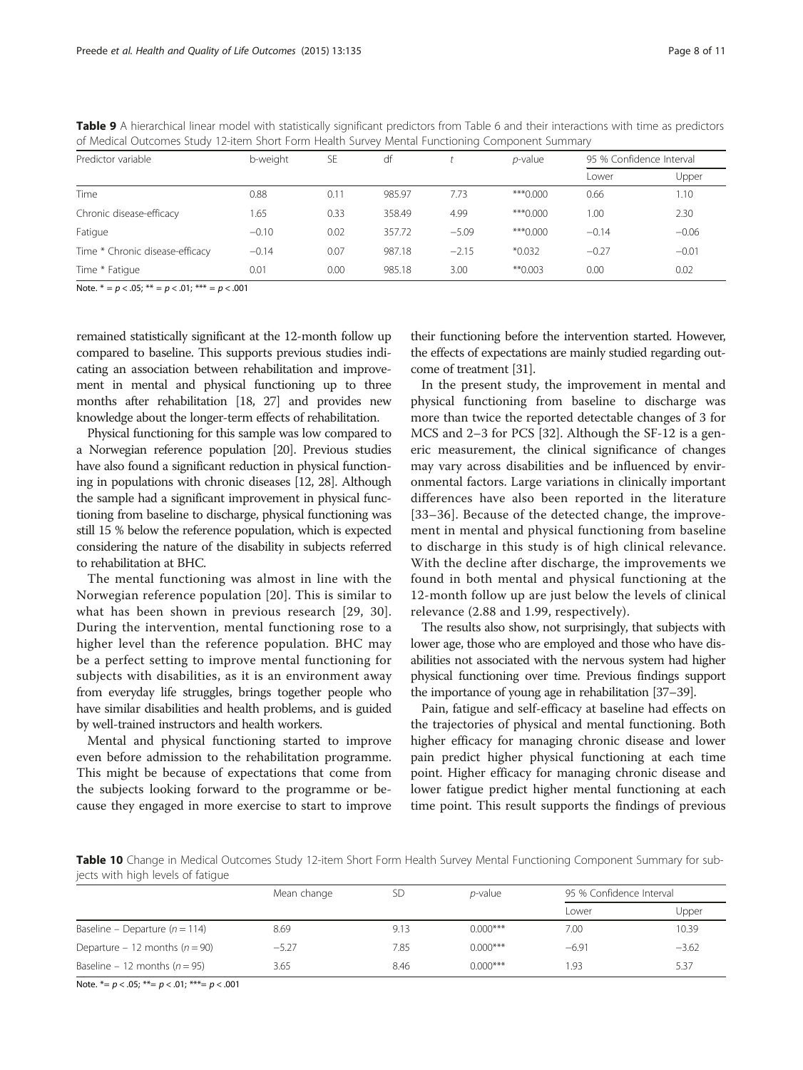<span id="page-7-0"></span>

| Table 9 A hierarchical linear model with statistically significant predictors from Table 6 and their interactions with time as predictors |  |  |  |
|-------------------------------------------------------------------------------------------------------------------------------------------|--|--|--|
| of Medical Outcomes Study 12-item Short Form Health Survey Mental Functioning Component Summary                                           |  |  |  |

| Predictor variable              | b-weight | <b>SE</b> | df     |         | <i>p</i> -value | 95 % Confidence Interval |         |
|---------------------------------|----------|-----------|--------|---------|-----------------|--------------------------|---------|
|                                 |          |           |        |         |                 | Lower                    | Upper   |
| Time                            | 0.88     | 0.11      | 985.97 | 7.73    | ***0.000        | 0.66                     | 1.10    |
| Chronic disease-efficacy        | 1.65     | 0.33      | 358.49 | 4.99    | ***0.000        | 1.00                     | 2.30    |
| Fatigue                         | $-0.10$  | 0.02      | 357.72 | $-5.09$ | ***0.000        | $-0.14$                  | $-0.06$ |
| Time * Chronic disease-efficacy | $-0.14$  | 0.07      | 987.18 | $-2.15$ | $*0.032$        | $-0.27$                  | $-0.01$ |
| Time * Fatique                  | 0.01     | 0.00      | 985.18 | 3.00    | $*$ 0.003       | 0.00                     | 0.02    |

Note.  $* = p < .05; ** = p < .01;*** = p < .001$ 

remained statistically significant at the 12-month follow up compared to baseline. This supports previous studies indicating an association between rehabilitation and improvement in mental and physical functioning up to three months after rehabilitation [[18](#page-10-0), [27](#page-10-0)] and provides new knowledge about the longer-term effects of rehabilitation.

Physical functioning for this sample was low compared to a Norwegian reference population [\[20\]](#page-10-0). Previous studies have also found a significant reduction in physical functioning in populations with chronic diseases [\[12, 28](#page-10-0)]. Although the sample had a significant improvement in physical functioning from baseline to discharge, physical functioning was still 15 % below the reference population, which is expected considering the nature of the disability in subjects referred to rehabilitation at BHC.

The mental functioning was almost in line with the Norwegian reference population [[20](#page-10-0)]. This is similar to what has been shown in previous research [\[29](#page-10-0), [30](#page-10-0)]. During the intervention, mental functioning rose to a higher level than the reference population. BHC may be a perfect setting to improve mental functioning for subjects with disabilities, as it is an environment away from everyday life struggles, brings together people who have similar disabilities and health problems, and is guided by well-trained instructors and health workers.

Mental and physical functioning started to improve even before admission to the rehabilitation programme. This might be because of expectations that come from the subjects looking forward to the programme or because they engaged in more exercise to start to improve

their functioning before the intervention started. However, the effects of expectations are mainly studied regarding outcome of treatment [\[31](#page-10-0)].

In the present study, the improvement in mental and physical functioning from baseline to discharge was more than twice the reported detectable changes of 3 for MCS and 2–3 for PCS [[32](#page-10-0)]. Although the SF-12 is a generic measurement, the clinical significance of changes may vary across disabilities and be influenced by environmental factors. Large variations in clinically important differences have also been reported in the literature [[33](#page-10-0)–[36\]](#page-10-0). Because of the detected change, the improvement in mental and physical functioning from baseline to discharge in this study is of high clinical relevance. With the decline after discharge, the improvements we found in both mental and physical functioning at the 12-month follow up are just below the levels of clinical relevance (2.88 and 1.99, respectively).

The results also show, not surprisingly, that subjects with lower age, those who are employed and those who have disabilities not associated with the nervous system had higher physical functioning over time. Previous findings support the importance of young age in rehabilitation [\[37](#page-10-0)–[39\]](#page-10-0).

Pain, fatigue and self-efficacy at baseline had effects on the trajectories of physical and mental functioning. Both higher efficacy for managing chronic disease and lower pain predict higher physical functioning at each time point. Higher efficacy for managing chronic disease and lower fatigue predict higher mental functioning at each time point. This result supports the findings of previous

Table 10 Change in Medical Outcomes Study 12-item Short Form Health Survey Mental Functioning Component Summary for subjects with high levels of fatigue

|                                    | Mean change |      | <i>p</i> -value | 95 % Confidence Interval |         |
|------------------------------------|-------------|------|-----------------|--------------------------|---------|
|                                    |             |      |                 | Lower                    | Upper   |
| Baseline – Departure ( $n = 114$ ) | 8.69        | 9.13 | $0.000$ ***     | 7.00                     | 10.39   |
| Departure – 12 months ( $n = 90$ ) | $-5.27$     | 7.85 | $0.000$ ***     | $-6.91$                  | $-3.62$ |
| Baseline – 12 months ( $n = 95$ )  | 3.65        | 8.46 | $0.000***$      | -93                      | 5.37    |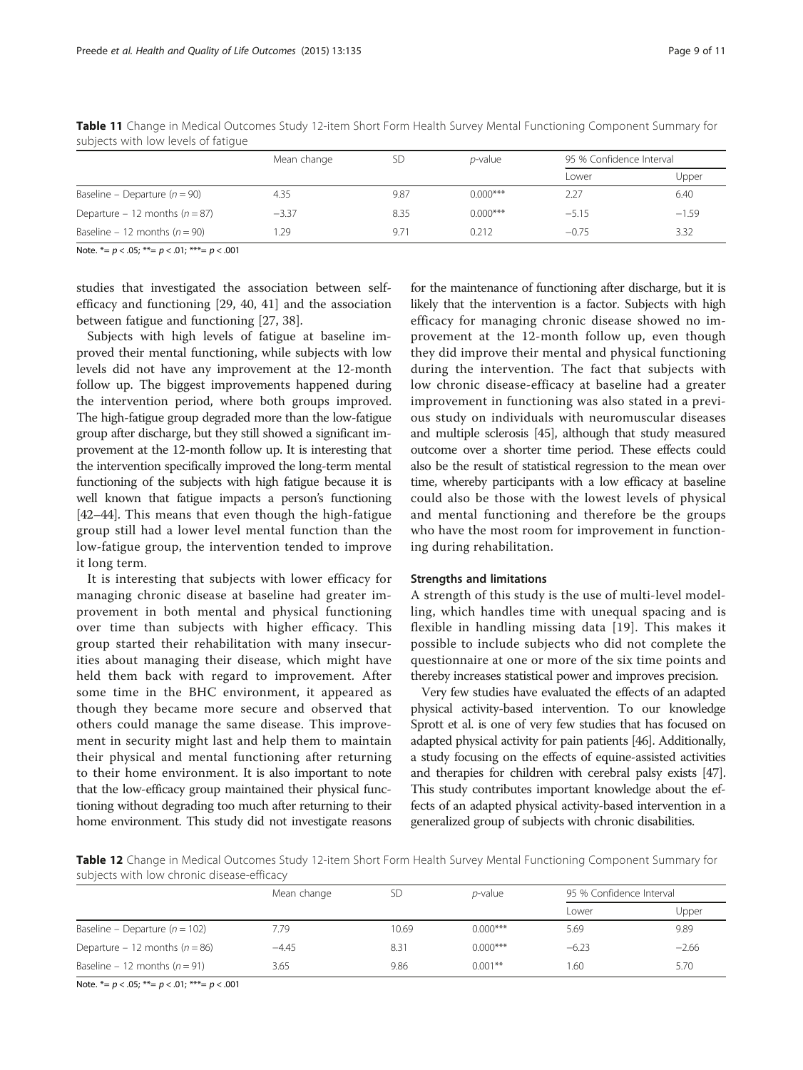|                                    | Mean change | SD   | <i>p</i> -value | 95 % Confidence Interval |         |
|------------------------------------|-------------|------|-----------------|--------------------------|---------|
|                                    |             |      |                 | Lower                    | Upper   |
| Baseline – Departure ( $n = 90$ )  | 4.35        | 9.87 | $0.000$ ***     | 2.27                     | 6.40    |
| Departure - 12 months ( $n = 87$ ) | $-3.37$     | 8.35 | $0.000$ ***     | $-5.15$                  | $-1.59$ |
| Baseline – 12 months ( $n = 90$ )  | .29         | 9.71 | 0.212           | $-0.75$                  | 3.32    |

<span id="page-8-0"></span>Table 11 Change in Medical Outcomes Study 12-item Short Form Health Survey Mental Functioning Component Summary for subjects with low levels of fatigue

Note.  $*_= p < .05$ ;  $**= p < .01$ ;  $**= p < .001$ 

studies that investigated the association between selfefficacy and functioning [[29, 40](#page-10-0), [41\]](#page-10-0) and the association between fatigue and functioning [[27, 38](#page-10-0)].

Subjects with high levels of fatigue at baseline improved their mental functioning, while subjects with low levels did not have any improvement at the 12-month follow up. The biggest improvements happened during the intervention period, where both groups improved. The high-fatigue group degraded more than the low-fatigue group after discharge, but they still showed a significant improvement at the 12-month follow up. It is interesting that the intervention specifically improved the long-term mental functioning of the subjects with high fatigue because it is well known that fatigue impacts a person's functioning [[42](#page-10-0)–[44](#page-10-0)]. This means that even though the high-fatigue group still had a lower level mental function than the low-fatigue group, the intervention tended to improve it long term.

It is interesting that subjects with lower efficacy for managing chronic disease at baseline had greater improvement in both mental and physical functioning over time than subjects with higher efficacy. This group started their rehabilitation with many insecurities about managing their disease, which might have held them back with regard to improvement. After some time in the BHC environment, it appeared as though they became more secure and observed that others could manage the same disease. This improvement in security might last and help them to maintain their physical and mental functioning after returning to their home environment. It is also important to note that the low-efficacy group maintained their physical functioning without degrading too much after returning to their home environment. This study did not investigate reasons

for the maintenance of functioning after discharge, but it is likely that the intervention is a factor. Subjects with high efficacy for managing chronic disease showed no improvement at the 12-month follow up, even though they did improve their mental and physical functioning during the intervention. The fact that subjects with low chronic disease-efficacy at baseline had a greater improvement in functioning was also stated in a previous study on individuals with neuromuscular diseases and multiple sclerosis [\[45\]](#page-10-0), although that study measured outcome over a shorter time period. These effects could also be the result of statistical regression to the mean over time, whereby participants with a low efficacy at baseline could also be those with the lowest levels of physical and mental functioning and therefore be the groups who have the most room for improvement in functioning during rehabilitation.

#### Strengths and limitations

A strength of this study is the use of multi-level modelling, which handles time with unequal spacing and is flexible in handling missing data [[19\]](#page-10-0). This makes it possible to include subjects who did not complete the questionnaire at one or more of the six time points and thereby increases statistical power and improves precision.

Very few studies have evaluated the effects of an adapted physical activity-based intervention. To our knowledge Sprott et al. is one of very few studies that has focused on adapted physical activity for pain patients [[46\]](#page-10-0). Additionally, a study focusing on the effects of equine-assisted activities and therapies for children with cerebral palsy exists [\[47](#page-10-0)]. This study contributes important knowledge about the effects of an adapted physical activity-based intervention in a generalized group of subjects with chronic disabilities.

Table 12 Change in Medical Outcomes Study 12-item Short Form Health Survey Mental Functioning Component Summary for subjects with low chronic disease-efficacy

|                                    | Mean change | SD    | $p$ -value | 95 % Confidence Interval |         |
|------------------------------------|-------------|-------|------------|--------------------------|---------|
|                                    |             |       |            | Lower                    | Upper   |
| Baseline – Departure ( $n = 102$ ) | 7.79        | 10.69 | $0.000***$ | 5.69                     | 9.89    |
| Departure – 12 months ( $n = 86$ ) | $-4.45$     | 8.31  | $0.000***$ | $-6.23$                  | $-2.66$ |
| Baseline – 12 months ( $n = 91$ )  | 3.65        | 9.86  | $0.001**$  | . 60                     | 5.70    |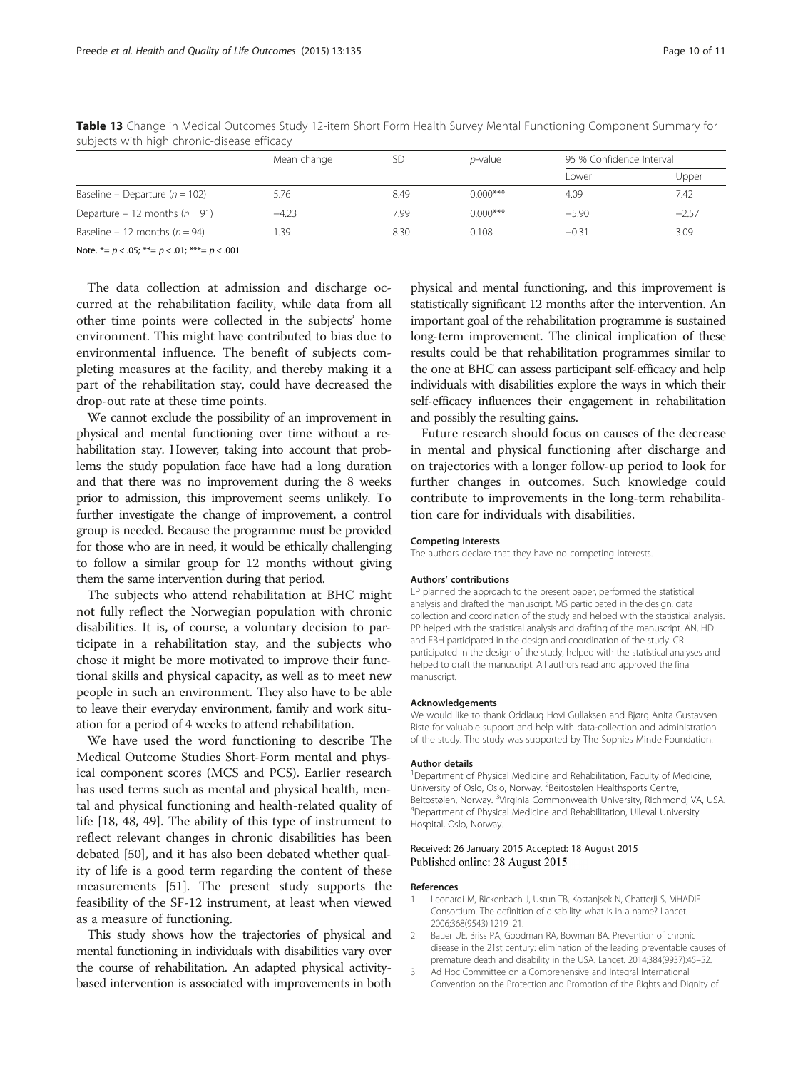|                                    | Mean change | SD   | <i>p</i> -value | 95 % Confidence Interval |         |
|------------------------------------|-------------|------|-----------------|--------------------------|---------|
|                                    |             |      |                 | Lower                    | Upper   |
| Baseline – Departure ( $n = 102$ ) | 5.76        | 8.49 | $0.000$ ***     | 4.09                     | 7.42    |
| Departure – 12 months ( $n = 91$ ) | $-4.23$     | 7.99 | $0.000$ ***     | $-5.90$                  | $-2.57$ |
| Baseline – 12 months ( $n = 94$ )  | .39         | 8.30 | 0.108           | $-0.31$                  | 3.09    |

<span id="page-9-0"></span>Table 13 Change in Medical Outcomes Study 12-item Short Form Health Survey Mental Functioning Component Summary for subjects with high chronic-disease efficacy

Note.  $* = p < .05$ ;  $** = p < .01$ ;  $*** = p < .001$ 

The data collection at admission and discharge occurred at the rehabilitation facility, while data from all other time points were collected in the subjects' home environment. This might have contributed to bias due to environmental influence. The benefit of subjects completing measures at the facility, and thereby making it a part of the rehabilitation stay, could have decreased the drop-out rate at these time points.

We cannot exclude the possibility of an improvement in physical and mental functioning over time without a rehabilitation stay. However, taking into account that problems the study population face have had a long duration and that there was no improvement during the 8 weeks prior to admission, this improvement seems unlikely. To further investigate the change of improvement, a control group is needed. Because the programme must be provided for those who are in need, it would be ethically challenging to follow a similar group for 12 months without giving them the same intervention during that period.

The subjects who attend rehabilitation at BHC might not fully reflect the Norwegian population with chronic disabilities. It is, of course, a voluntary decision to participate in a rehabilitation stay, and the subjects who chose it might be more motivated to improve their functional skills and physical capacity, as well as to meet new people in such an environment. They also have to be able to leave their everyday environment, family and work situation for a period of 4 weeks to attend rehabilitation.

We have used the word functioning to describe The Medical Outcome Studies Short-Form mental and physical component scores (MCS and PCS). Earlier research has used terms such as mental and physical health, mental and physical functioning and health-related quality of life [[18](#page-10-0), [48, 49](#page-10-0)]. The ability of this type of instrument to reflect relevant changes in chronic disabilities has been debated [[50\]](#page-10-0), and it has also been debated whether quality of life is a good term regarding the content of these measurements [[51\]](#page-10-0). The present study supports the feasibility of the SF-12 instrument, at least when viewed as a measure of functioning.

This study shows how the trajectories of physical and mental functioning in individuals with disabilities vary over the course of rehabilitation. An adapted physical activitybased intervention is associated with improvements in both physical and mental functioning, and this improvement is statistically significant 12 months after the intervention. An important goal of the rehabilitation programme is sustained long-term improvement. The clinical implication of these results could be that rehabilitation programmes similar to the one at BHC can assess participant self-efficacy and help individuals with disabilities explore the ways in which their self-efficacy influences their engagement in rehabilitation and possibly the resulting gains.

Future research should focus on causes of the decrease in mental and physical functioning after discharge and on trajectories with a longer follow-up period to look for further changes in outcomes. Such knowledge could contribute to improvements in the long-term rehabilitation care for individuals with disabilities.

#### Competing interests

The authors declare that they have no competing interests.

#### Authors' contributions

LP planned the approach to the present paper, performed the statistical analysis and drafted the manuscript. MS participated in the design, data collection and coordination of the study and helped with the statistical analysis. PP helped with the statistical analysis and drafting of the manuscript. AN, HD and EBH participated in the design and coordination of the study. CR participated in the design of the study, helped with the statistical analyses and helped to draft the manuscript. All authors read and approved the final manuscript.

#### Acknowledgements

We would like to thank Oddlaug Hovi Gullaksen and Bjørg Anita Gustavsen Riste for valuable support and help with data-collection and administration of the study. The study was supported by The Sophies Minde Foundation.

#### Author details

<sup>1</sup>Department of Physical Medicine and Rehabilitation, Faculty of Medicine, University of Oslo, Oslo, Norway. <sup>2</sup>Beitostølen Healthsports Centre, Beitostølen, Norway. <sup>3</sup>Virginia Commonwealth University, Richmond, VA, USA.<br><sup>4</sup>Denartment of Physical Medicine and Rehabilitation. I Illeval University Department of Physical Medicine and Rehabilitation, Ulleval University Hospital, Oslo, Norway.

#### Received: 26 January 2015 Accepted: 18 August 2015 Published online: 28 August 2015

#### References

- 1. Leonardi M, Bickenbach J, Ustun TB, Kostanjsek N, Chatterji S, MHADIE Consortium. The definition of disability: what is in a name? Lancet. 2006;368(9543):1219–21.
- 2. Bauer UE, Briss PA, Goodman RA, Bowman BA. Prevention of chronic disease in the 21st century: elimination of the leading preventable causes of premature death and disability in the USA. Lancet. 2014;384(9937):45–52.
- 3. Ad Hoc Committee on a Comprehensive and Integral International Convention on the Protection and Promotion of the Rights and Dignity of